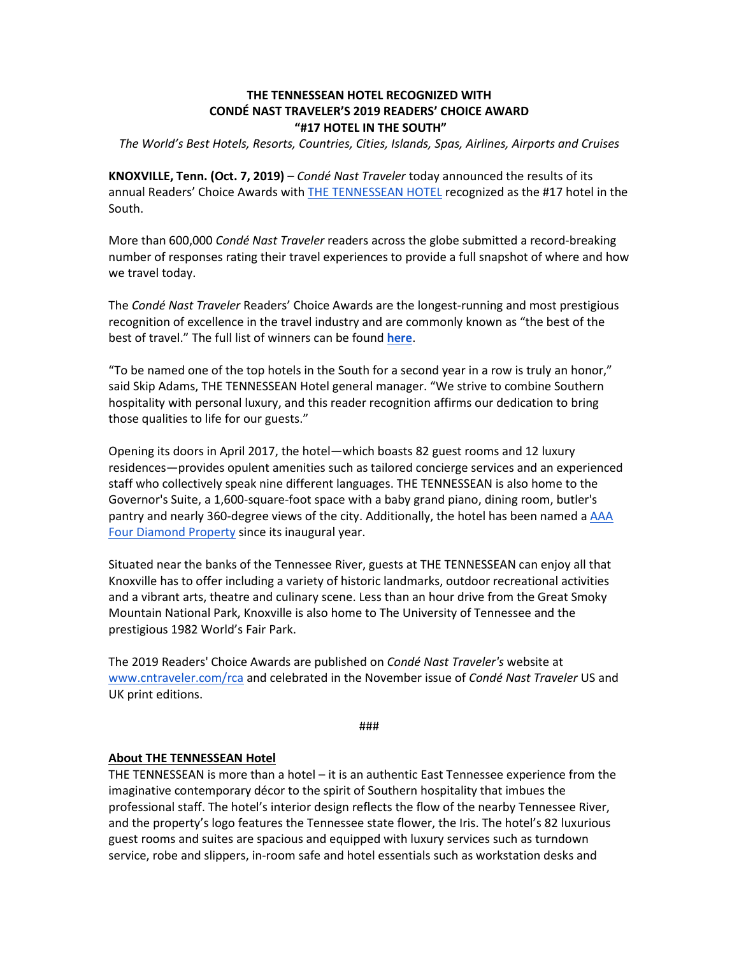## **THE TENNESSEAN HOTEL RECOGNIZED WITH CONDÉ NAST TRAVELER'S 2019 READERS' CHOICE AWARD "#17 HOTEL IN THE SOUTH"**

*The World's Best Hotels, Resorts, Countries, Cities, Islands, Spas, Airlines, Airports and Cruises*

**KNOXVILLE, Tenn. (Oct. 7, 2019)** – *Condé Nast Traveler* today announced the results of its annual Readers' Choice Awards with [THE TENNESSEAN HOTEL](https://thetennesseanhotel.com/) recognized as the #17 hotel in the South.

More than 600,000 *Condé Nast Traveler* readers across the globe submitted a record-breaking number of responses rating their travel experiences to provide a full snapshot of where and how we travel today.

The *Condé Nast Traveler* Readers' Choice Awards are the longest-running and most prestigious recognition of excellence in the travel industry and are commonly known as "the best of the best of travel." The full list of winners can be found **[here](http://www.cntraveler.com/rca)**.

"To be named one of the top hotels in the South for a second year in a row is truly an honor," said Skip Adams, THE TENNESSEAN Hotel general manager. "We strive to combine Southern hospitality with personal luxury, and this reader recognition affirms our dedication to bring those qualities to life for our guests."

Opening its doors in April 2017, the hotel—which boasts 82 guest rooms and 12 luxury residences—provides opulent amenities such as tailored concierge services and an experienced staff who collectively speak nine different languages. THE TENNESSEAN is also home to the Governor's Suite, a 1,600-square-foot space with a baby grand piano, dining room, butler's pantry and nearly 360-degree views of the city. Additionally, the hotel has been named a [AAA](https://newsroom.aaa.com/diamond-ratings/)  [Four Diamond Property](https://newsroom.aaa.com/diamond-ratings/) since its inaugural year.

Situated near the banks of the Tennessee River, guests at THE TENNESSEAN can enjoy all that Knoxville has to offer including a variety of historic landmarks, outdoor recreational activities and a vibrant arts, theatre and culinary scene. Less than an hour drive from the Great Smoky Mountain National Park, Knoxville is also home to The University of Tennessee and the prestigious 1982 World's Fair Park.

The 2019 Readers' Choice Awards are published on *Condé Nast Traveler's* website at [www.cntraveler.com/rca](http://www.cntraveler.com/rca) and celebrated in the November issue of *Condé Nast Traveler* US and UK print editions.

###

## **About THE TENNESSEAN Hotel**

THE TENNESSEAN is more than a hotel – it is an authentic East Tennessee experience from the imaginative contemporary décor to the spirit of Southern hospitality that imbues the professional staff. The hotel's interior design reflects the flow of the nearby Tennessee River, and the property's logo features the Tennessee state flower, the Iris. The hotel's 82 luxurious guest rooms and suites are spacious and equipped with luxury services such as turndown service, robe and slippers, in-room safe and hotel essentials such as workstation desks and